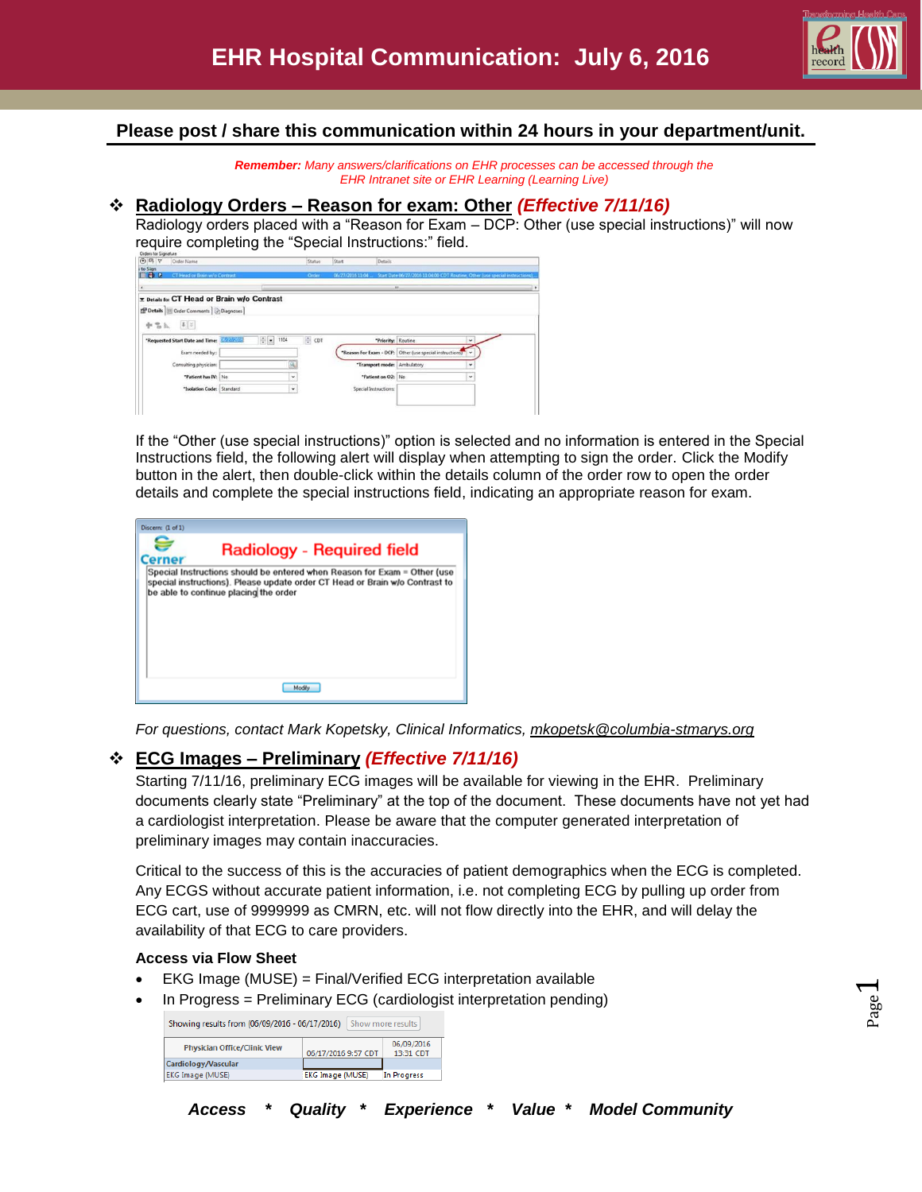

Page  $\overline{\phantom{0}}$ 

## **Please post / share this communication within 24 hours in your department/unit.**

*Remember: Many answers/clarifications on EHR processes can be accessed through the EHR Intranet site or EHR Learning (Learning Live)*

### **Radiology Orders – Reason for exam: Other** *(Effective 7/11/16)*

Radiology orders placed with a "Reason for Exam – DCP: Other (use special instructions)" will now require completing the "Special Instructions:" field.

If the "Other (use special instructions)" option is selected and no information is entered in the Special Instructions field, the following alert will display when attempting to sign the order. Click the Modify button in the alert, then double-click within the details column of the order row to open the order details and complete the special instructions field, indicating an appropriate reason for exam.

| Discern: (1 of 1)                                                                                                                                                                                |
|--------------------------------------------------------------------------------------------------------------------------------------------------------------------------------------------------|
| Radiology - Required field<br>erner                                                                                                                                                              |
| Special Instructions should be entered when Reason for Exam = Other (use<br>special instructions). Please update order CT Head or Brain w/o Contrast to<br>be able to continue placing the order |
|                                                                                                                                                                                                  |

*For questions, contact Mark Kopetsky, Clinical Informatics, [mkopetsk@columbia-stmarys.org](mailto:mkopetsk@columbia-stmarys.org)*

# **ECG Images – Preliminary** *(Effective 7/11/16)*

Starting 7/11/16, preliminary ECG images will be available for viewing in the EHR. Preliminary documents clearly state "Preliminary" at the top of the document. These documents have not yet had a cardiologist interpretation. Please be aware that the computer generated interpretation of preliminary images may contain inaccuracies.

Critical to the success of this is the accuracies of patient demographics when the ECG is completed. Any ECGS without accurate patient information, i.e. not completing ECG by pulling up order from ECG cart, use of 9999999 as CMRN, etc. will not flow directly into the EHR, and will delay the availability of that ECG to care providers.

### **Access via Flow Sheet**

- EKG Image (MUSE) = Final/Verified ECG interpretation available
- In Progress = Preliminary ECG (cardiologist interpretation pending)

| Showing results from (06/09/2016 - 06/17/2016) |                         | Show more results       |
|------------------------------------------------|-------------------------|-------------------------|
| <b>Physician Office/Clinic View</b>            | 06/17/2016 9:57 CDT     | 06/09/2016<br>13:31 CDT |
| Cardiology/Vascular                            |                         |                         |
| <b>EKG Image (MUSE)</b>                        | <b>EKG Image (MUSE)</b> | In Progress             |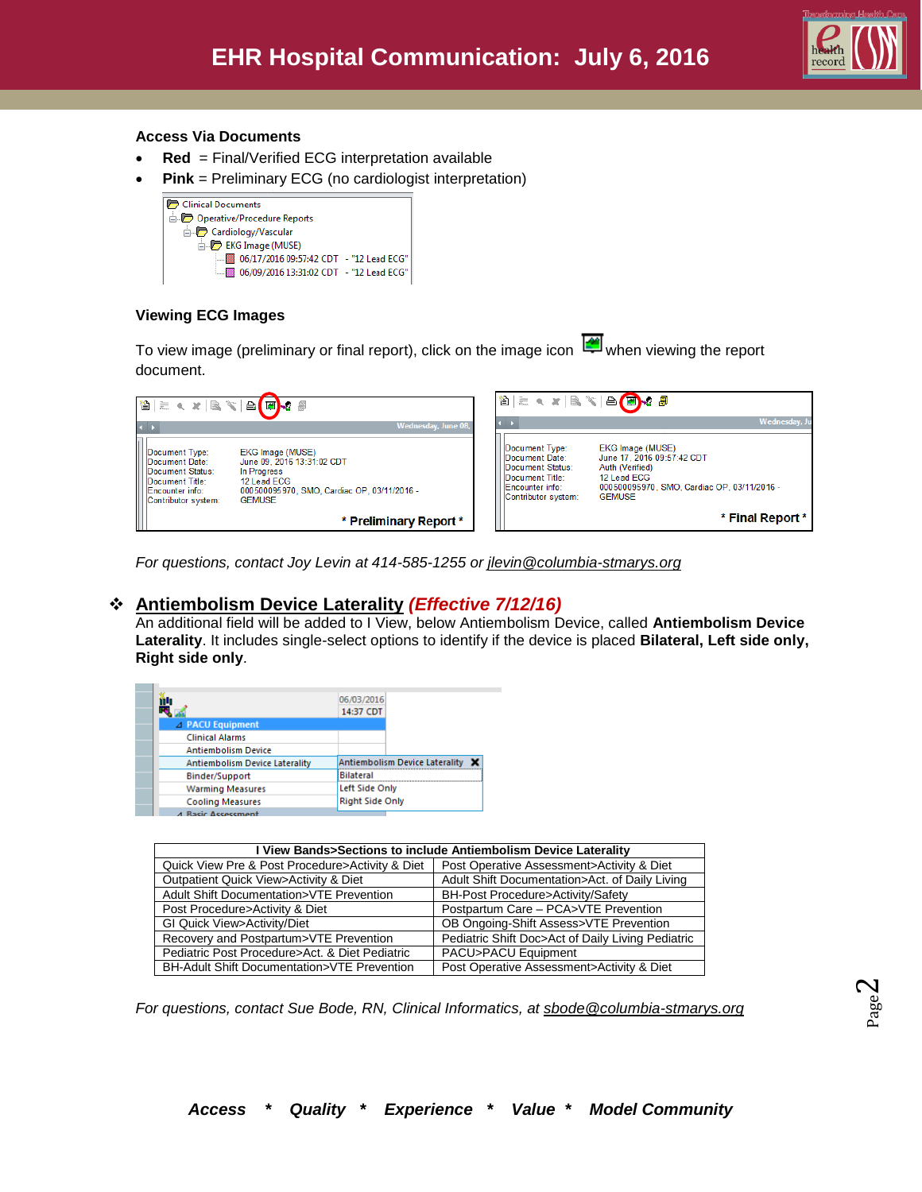

#### **Access Via Documents**

- **Red** = Final/Verified ECG interpretation available
- **Pink** = Preliminary ECG (no cardiologist interpretation)

| Clinical Documents                      |  |
|-----------------------------------------|--|
| Operative/Procedure Reports             |  |
| - Cardiology/Vascular                   |  |
| EKG Image (MUSE)                        |  |
| 06/17/2016 09:57:42 CDT - "12 Lead ECG" |  |
|                                         |  |

### **Viewing ECG Images**

To view image (preliminary or final report), click on the image icon when viewing the report document.

| 8 2 3 3 4 5 4 5 <mark>6 7</mark> 8                                                                                |                                                                                                                                              |                                                                                                                   | band size and the                                                                                                                                |
|-------------------------------------------------------------------------------------------------------------------|----------------------------------------------------------------------------------------------------------------------------------------------|-------------------------------------------------------------------------------------------------------------------|--------------------------------------------------------------------------------------------------------------------------------------------------|
| $\leftarrow$                                                                                                      | Wednesday, June 08,                                                                                                                          |                                                                                                                   | Wednesday, Ju                                                                                                                                    |
| Document Type:<br>Document Date:<br>Document Status:<br>Document Title:<br>Encounter info:<br>Contributor system: | EKG Image (MUSE)<br>June 09, 2016 13:31:02 CDT<br>In Progress<br>12 Lead ECG<br>000500095970, SMO, Cardiac OP, 03/11/2016 -<br><b>GEMUSE</b> | Document Type:<br>Document Date:<br>Document Status:<br>Document Title:<br>Encounter info:<br>Contributor system: | EKG Image (MUSE)<br>June 17, 2016 09:57:42 CDT<br>Auth (Verified)<br>12 Lead ECG<br>000500095970, SMO, Cardiac OP, 03/11/2016 -<br><b>GFMUSF</b> |
|                                                                                                                   | * Preliminary Report *                                                                                                                       |                                                                                                                   | * Final Report *                                                                                                                                 |

*For questions, contact Joy Levin at 414-585-1255 or [jlevin@columbia-stmarys.org](mailto:jlevin@columbia-stmarys.org)*

## **Antiembolism Device Laterality** *(Effective 7/12/16)*

An additional field will be added to I View, below Antiembolism Device, called **Antiembolism Device Laterality**. It includes single-select options to identify if the device is placed **Bilateral, Left side only, Right side only**.

| îN                                    | 06/03/2016<br>14:37 CDT          |
|---------------------------------------|----------------------------------|
| $\blacktriangle$ PACU Equipment       |                                  |
| <b>Clinical Alarms</b>                |                                  |
| <b>Antiembolism Device</b>            |                                  |
| <b>Antiembolism Device Laterality</b> | Antiembolism Device Laterality X |
| Binder/Support                        | Bilateral                        |
| <b>Warming Measures</b>               | Left Side Only                   |
| <b>Cooling Measures</b>               | <b>Right Side Only</b>           |
| <b>A Racic Accessment</b>             |                                  |

| I View Bands>Sections to include Antiembolism Device Laterality |                                                   |  |  |  |
|-----------------------------------------------------------------|---------------------------------------------------|--|--|--|
| Quick View Pre & Post Procedure>Activity & Diet                 | Post Operative Assessment>Activity & Diet         |  |  |  |
| Outpatient Quick View>Activity & Diet                           | Adult Shift Documentation>Act. of Daily Living    |  |  |  |
| Adult Shift Documentation>VTE Prevention                        | BH-Post Procedure>Activity/Safety                 |  |  |  |
| Post Procedure>Activity & Diet                                  | Postpartum Care - PCA>VTE Prevention              |  |  |  |
| GI Quick View>Activity/Diet                                     | OB Ongoing-Shift Assess>VTE Prevention            |  |  |  |
| Recovery and Postpartum>VTE Prevention                          | Pediatric Shift Doc>Act of Daily Living Pediatric |  |  |  |
| Pediatric Post Procedure>Act, & Diet Pediatric                  | PACU>PACU Equipment                               |  |  |  |
| BH-Adult Shift Documentation>VTE Prevention                     | Post Operative Assessment>Activity & Diet         |  |  |  |

*For questions, contact Sue Bode, RN, Clinical Informatics, at [sbode@columbia-stmarys.org](mailto:sbode@columbia-stmarys.org)*